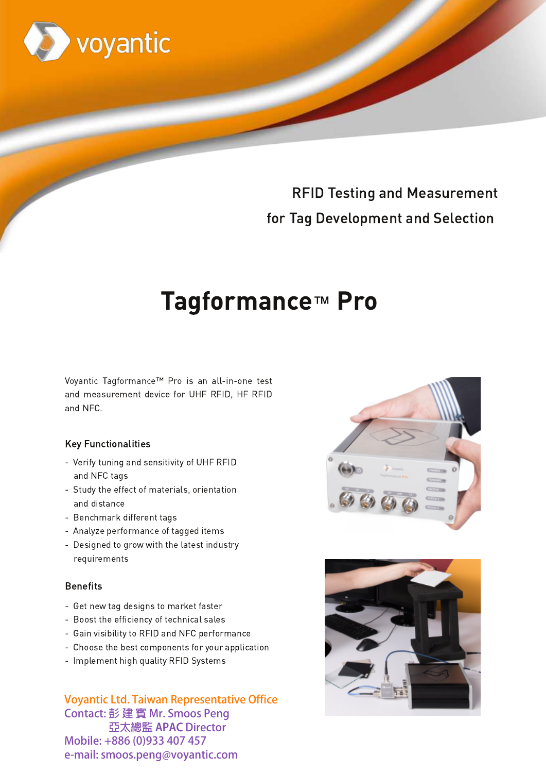

# **RFID Testing and Measurement** for Tag Development and Selection

# **Tagformance™ Pro**

Voyantic Tagformance™ Pro is an all-in-one test and measurement device for UHF RFID, HF RFID and NFC.

## **Key Functionalities**

- Verify tuning and sensitivity of UHF RFID and NFC tags
- Study the effect of materials, orientation and distance
- Benchmark different tags
- Analyze performance of tagged items
- Designed to grow with the latest industry requirements

## **Benefits**

- Get new tag designs to market faster
- Boost the efficiency of technical sales
- Gain visibility to RFID and NFC performance
- Choose the best components for your application
- Implement high quality RFID Systems

**Voyantic Ltd. Taiwan Representative Office** Contact: 彭建賓 Mr. Smoos Peng 亞太總監 APAC Director Mobile: +886 (0)933 407 457 e-mail: smoos.peng@voyantic.com